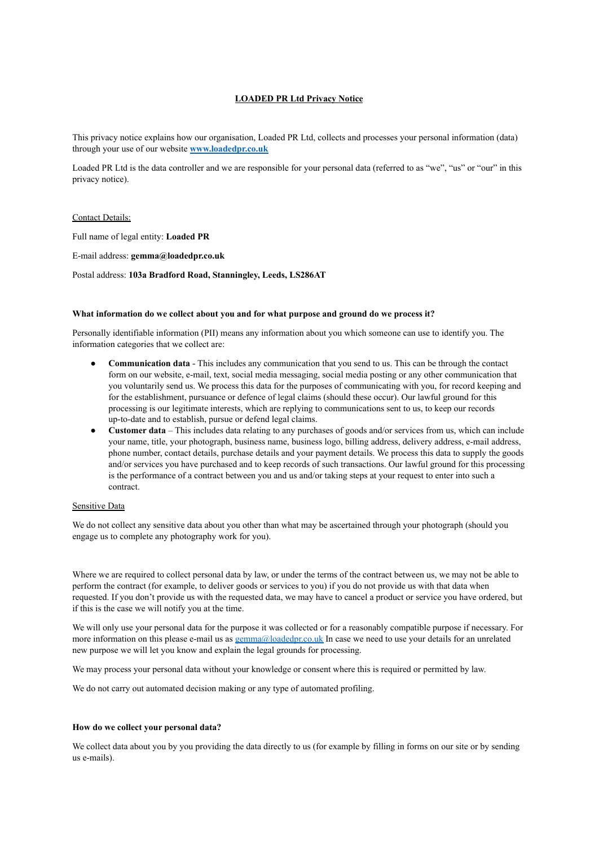## **LOADED PR Ltd Privacy Notice**

This privacy notice explains how our organisation, Loaded PR Ltd, collects and processes your personal information (data) through your use of our website **[www.loadedpr.co.uk](http://www.loadedpr.co.uk)**

Loaded PR Ltd is the data controller and we are responsible for your personal data (referred to as "we", "us" or "our" in this privacy notice).

#### Contact Details:

Full name of legal entity: **Loaded PR**

E-mail address: **gemma@loadedpr.co.uk**

Postal address: **103a Bradford Road, Stanningley, Leeds, LS286AT**

### **What information do we collect about you and for what purpose and ground do we process it?**

Personally identifiable information (PII) means any information about you which someone can use to identify you. The information categories that we collect are:

- **Communication data** This includes any communication that you send to us. This can be through the contact form on our website, e-mail, text, social media messaging, social media posting or any other communication that you voluntarily send us. We process this data for the purposes of communicating with you, for record keeping and for the establishment, pursuance or defence of legal claims (should these occur). Our lawful ground for this processing is our legitimate interests, which are replying to communications sent to us, to keep our records up-to-date and to establish, pursue or defend legal claims.
- **Customer data** This includes data relating to any purchases of goods and/or services from us, which can include your name, title, your photograph, business name, business logo, billing address, delivery address, e-mail address, phone number, contact details, purchase details and your payment details. We process this data to supply the goods and/or services you have purchased and to keep records of such transactions. Our lawful ground for this processing is the performance of a contract between you and us and/or taking steps at your request to enter into such a contract.

# Sensitive Data

We do not collect any sensitive data about you other than what may be ascertained through your photograph (should you engage us to complete any photography work for you).

Where we are required to collect personal data by law, or under the terms of the contract between us, we may not be able to perform the contract (for example, to deliver goods or services to you) if you do not provide us with that data when requested. If you don't provide us with the requested data, we may have to cancel a product or service you have ordered, but if this is the case we will notify you at the time.

We will only use your personal data for the purpose it was collected or for a reasonably compatible purpose if necessary. For more information on this please e-mail us as [gemma@loadedpr.co.uk](mailto:gemma@loadedpr.co.uk) In case we need to use your details for an unrelated new purpose we will let you know and explain the legal grounds for processing.

We may process your personal data without your knowledge or consent where this is required or permitted by law.

We do not carry out automated decision making or any type of automated profiling.

### **How do we collect your personal data?**

We collect data about you by you providing the data directly to us (for example by filling in forms on our site or by sending us e-mails).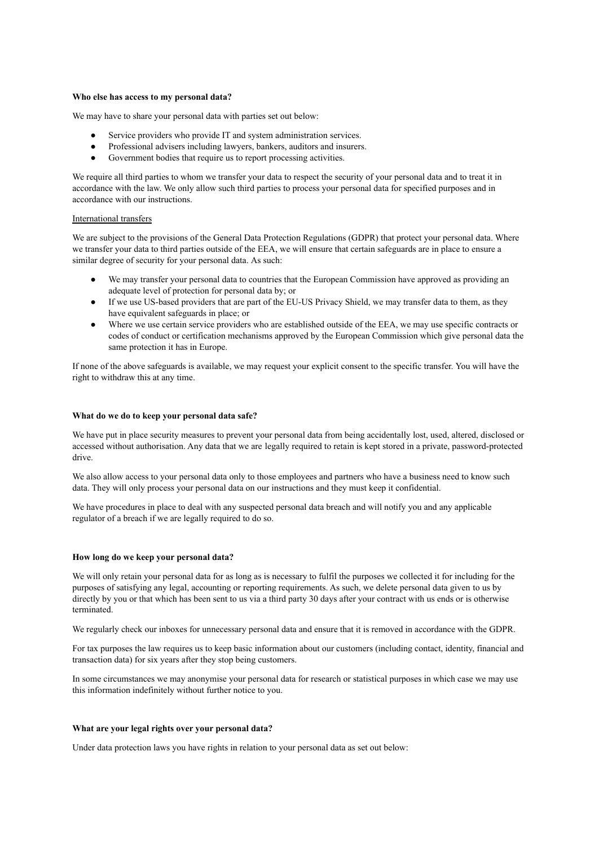#### **Who else has access to my personal data?**

We may have to share your personal data with parties set out below:

- Service providers who provide IT and system administration services.
- Professional advisers including lawyers, bankers, auditors and insurers.
- Government bodies that require us to report processing activities.

We require all third parties to whom we transfer your data to respect the security of your personal data and to treat it in accordance with the law. We only allow such third parties to process your personal data for specified purposes and in accordance with our instructions.

### International transfers

We are subject to the provisions of the General Data Protection Regulations (GDPR) that protect your personal data. Where we transfer your data to third parties outside of the EEA, we will ensure that certain safeguards are in place to ensure a similar degree of security for your personal data. As such:

- We may transfer your personal data to countries that the European Commission have approved as providing an adequate level of protection for personal data by; or
- If we use US-based providers that are part of the EU-US Privacy Shield, we may transfer data to them, as they have equivalent safeguards in place; or
- Where we use certain service providers who are established outside of the EEA, we may use specific contracts or codes of conduct or certification mechanisms approved by the European Commission which give personal data the same protection it has in Europe.

If none of the above safeguards is available, we may request your explicit consent to the specific transfer. You will have the right to withdraw this at any time.

# **What do we do to keep your personal data safe?**

We have put in place security measures to prevent your personal data from being accidentally lost, used, altered, disclosed or accessed without authorisation. Any data that we are legally required to retain is kept stored in a private, password-protected drive.

We also allow access to your personal data only to those employees and partners who have a business need to know such data. They will only process your personal data on our instructions and they must keep it confidential.

We have procedures in place to deal with any suspected personal data breach and will notify you and any applicable regulator of a breach if we are legally required to do so.

# **How long do we keep your personal data?**

We will only retain your personal data for as long as is necessary to fulfil the purposes we collected it for including for the purposes of satisfying any legal, accounting or reporting requirements. As such, we delete personal data given to us by directly by you or that which has been sent to us via a third party 30 days after your contract with us ends or is otherwise terminated.

We regularly check our inboxes for unnecessary personal data and ensure that it is removed in accordance with the GDPR.

For tax purposes the law requires us to keep basic information about our customers (including contact, identity, financial and transaction data) for six years after they stop being customers.

In some circumstances we may anonymise your personal data for research or statistical purposes in which case we may use this information indefinitely without further notice to you.

#### **What are your legal rights over your personal data?**

Under data protection laws you have rights in relation to your personal data as set out below: